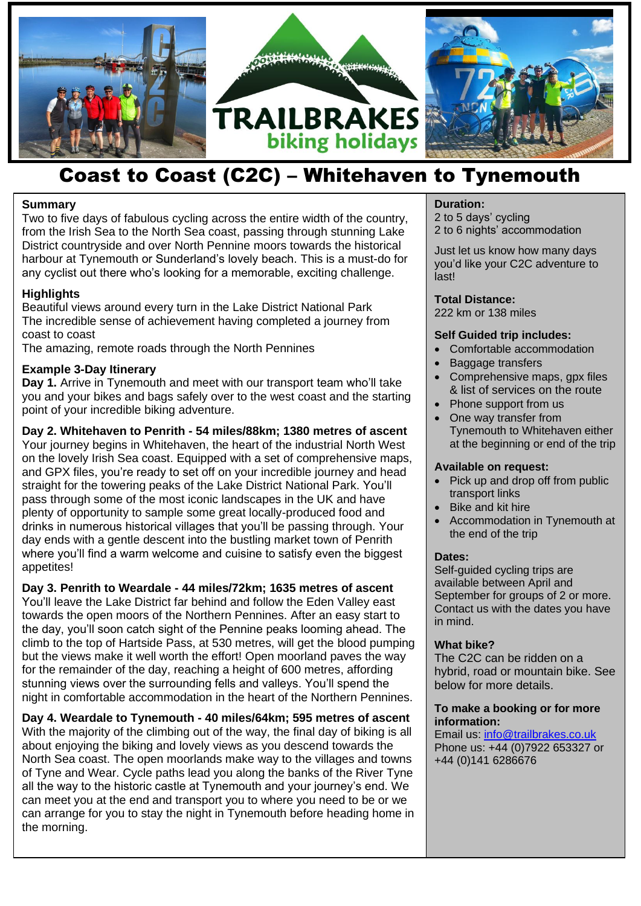

## Coast to Coast (C2C) – Whitehaven to Tynemouth

## **Summary**

Two to five days of fabulous cycling across the entire width of the country, from the Irish Sea to the North Sea coast, passing through stunning Lake District countryside and over North Pennine moors towards the historical harbour at Tynemouth or Sunderland's lovely beach. This is a must-do for any cyclist out there who's looking for a memorable, exciting challenge.

## **Highlights**

Beautiful views around every turn in the Lake District National Park The incredible sense of achievement having completed a journey from coast to coast

The amazing, remote roads through the North Pennines

## **Example 3-Day Itinerary**

**Day 1.** Arrive in Tynemouth and meet with our transport team who'll take you and your bikes and bags safely over to the west coast and the starting point of your incredible biking adventure.

**Day 2. Whitehaven to Penrith - 54 miles/88km; 1380 metres of ascent** Your journey begins in Whitehaven, the heart of the industrial North West on the lovely Irish Sea coast. Equipped with a set of comprehensive maps, and GPX files, you're ready to set off on your incredible journey and head straight for the towering peaks of the Lake District National Park. You'll pass through some of the most iconic landscapes in the UK and have plenty of opportunity to sample some great locally-produced food and drinks in numerous historical villages that you'll be passing through. Your day ends with a gentle descent into the bustling market town of Penrith where you'll find a warm welcome and cuisine to satisfy even the biggest appetites!

stunning views over the surrounding fells and valleys. You il spend the sumplelow for<br>night in comfortable accommodation in the heart of the Northern Pennines. **Day 3. Penrith to Weardale - 44 miles/72km; 1635 metres of ascent** You'll leave the Lake District far behind and follow the Eden Valley east towards the open moors of the Northern Pennines. After an easy start to the day, you'll soon catch sight of the Pennine peaks looming ahead. The climb to the top of Hartside Pass, at 530 metres, will get the blood pumping but the views make it well worth the effort! Open moorland paves the way for the remainder of the day, reaching a height of 600 metres, affording stunning views over the surrounding fells and valleys. You'll spend the

**Day 4. Weardale to Tynemouth - 40 miles/64km; 595 metres of ascent** With the majority of the climbing out of the way, the final day of biking is all about enjoying the biking and lovely views as you descend towards the North Sea coast. The open moorlands make way to the villages and towns of Tyne and Wear. Cycle paths lead you along the banks of the River Tyne all the way to the historic castle at Tynemouth and your journey's end. We can meet you at the end and transport you to where you need to be or we can arrange for you to stay the night in Tynemouth before heading home in the morning.

## **Duration:**

2 to 5 days' cycling 2 to 6 nights' accommodation

Just let us know how many days you'd like your C2C adventure to last!

## **Total Distance:**

222 km or 138 miles

## **Self Guided trip includes:**

- Comfortable accommodation
- Baggage transfers
- Comprehensive maps, gpx files & list of services on the route
- Phone support from us
- One way transfer from Tynemouth to Whitehaven either at the beginning or end of the trip

## **Available on request:**

- Pick up and drop off from public transport links
- Bike and kit hire
- Accommodation in Tynemouth at the end of the trip

## **Dates:**

Self-guided cycling trips are available between April and September for groups of 2 or more. Contact us with the dates you have in mind.

## **What bike?**

The C2C can be ridden on a hybrid, road or mountain bike. See below for more details.

#### **To make a booking or for more information:**

Email us: [info@trailbrakes.co.uk](mailto:info@trailbrakes.co.uk)  Phone us: +44 (0)7922 653327 or +44 (0)141 6286676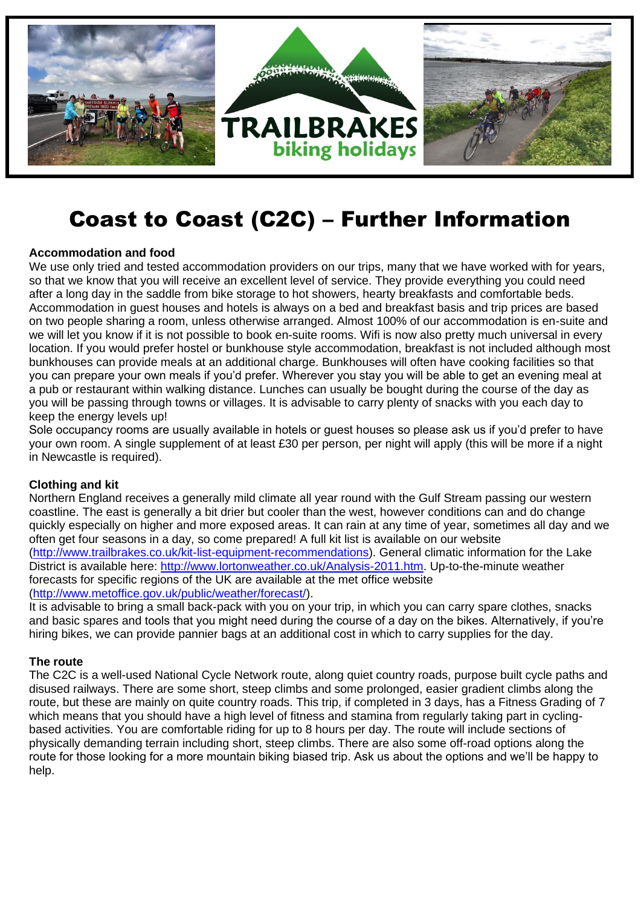

# Coast to Coast (C2C) – Further Information

## **Accommodation and food**

We use only tried and tested accommodation providers on our trips, many that we have worked with for years, so that we know that you will receive an excellent level of service. They provide everything you could need after a long day in the saddle from bike storage to hot showers, hearty breakfasts and comfortable beds. Accommodation in guest houses and hotels is always on a bed and breakfast basis and trip prices are based on two people sharing a room, unless otherwise arranged. Almost 100% of our accommodation is en-suite and we will let you know if it is not possible to book en-suite rooms. Wifi is now also pretty much universal in every location. If you would prefer hostel or bunkhouse style accommodation, breakfast is not included although most bunkhouses can provide meals at an additional charge. Bunkhouses will often have cooking facilities so that you can prepare your own meals if you'd prefer. Wherever you stay you will be able to get an evening meal at a pub or restaurant within walking distance. Lunches can usually be bought during the course of the day as you will be passing through towns or villages. It is advisable to carry plenty of snacks with you each day to keep the energy levels up!

Sole occupancy rooms are usually available in hotels or guest houses so please ask us if you'd prefer to have your own room. A single supplement of at least £30 per person, per night will apply (this will be more if a night in Newcastle is required).

## **Clothing and kit**

Northern England receives a generally mild climate all year round with the Gulf Stream passing our western coastline. The east is generally a bit drier but cooler than the west, however conditions can and do change quickly especially on higher and more exposed areas. It can rain at any time of year, sometimes all day and we often get four seasons in a day, so come prepared! A full kit list is available on our website [\(http://www.trailbrakes.co.uk/kit-list-equipment-recommendations\)](http://www.trailbrakes.co.uk/kit-list-equipment-recommendations). General climatic information for the Lake District is available here: [http://www.lortonweather.co.uk/Analysis-2011.htm.](http://www.lortonweather.co.uk/Analysis-2011.htm) Up-to-the-minute weather forecasts for specific regions of the UK are available at the met office website [\(http://www.metoffice.gov.uk/public/weather/forecast/\)](http://www.metoffice.gov.uk/public/weather/forecast/).

It is advisable to bring a small back-pack with you on your trip, in which you can carry spare clothes, snacks and basic spares and tools that you might need during the course of a day on the bikes. Alternatively, if you're hiring bikes, we can provide pannier bags at an additional cost in which to carry supplies for the day.

## **The route**

The C2C is a well-used National Cycle Network route, along quiet country roads, purpose built cycle paths and disused railways. There are some short, steep climbs and some prolonged, easier gradient climbs along the route, but these are mainly on quite country roads. This trip, if completed in 3 days, has a Fitness Grading of 7 which means that you should have a high level of fitness and stamina from regularly taking part in cyclingbased activities. You are comfortable riding for up to 8 hours per day. The route will include sections of physically demanding terrain including short, steep climbs. There are also some off-road options along the route for those looking for a more mountain biking biased trip. Ask us about the options and we'll be happy to help.